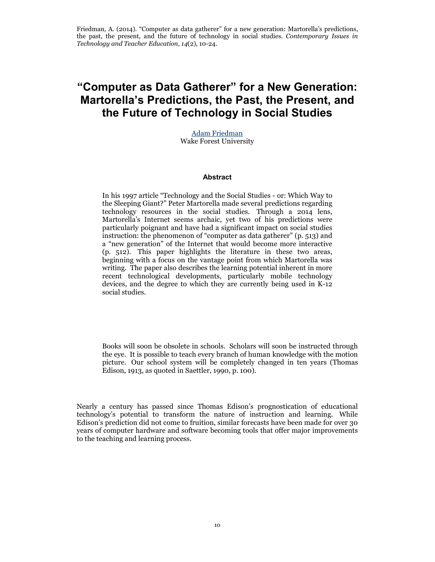# **"Computer as Data Gatherer" for a New Generation: Martorella's Predictions, the Past, the Present, and the Future of Technology in Social Studies**

[Adam Friedman](mailto:amfriedman@wfu.edu) Wake Forest University

#### **Abstract**

In his 1997 article "Technology and the Social Studies - or: Which Way to the Sleeping Giant?" Peter Martorella made several predictions regarding technology resources in the social studies. Through a 2014 lens, Martorella's Internet seems archaic, yet two of his predictions were particularly poignant and have had a significant impact on social studies instruction: the phenomenon of "computer as data gatherer" (p. 513) and a "new generation" of the Internet that would become more interactive (p. 512). This paper highlights the literature in these two areas, beginning with a focus on the vantage point from which Martorella was writing. The paper also describes the learning potential inherent in more recent technological developments, particularly mobile technology devices, and the degree to which they are currently being used in K-12 social studies.

Books will soon be obsolete in schools. Scholars will soon be instructed through the eye. It is possible to teach every branch of human knowledge with the motion picture. Our school system will be completely changed in ten years (Thomas Edison, 1913, as quoted in Saettler, 1990, p. 100).

Nearly a century has passed since Thomas Edison's prognostication of educational technology's potential to transform the nature of instruction and learning. While Edison's prediction did not come to fruition, similar forecasts have been made for over 30 years of computer hardware and software becoming tools that offer major improvements to the teaching and learning process.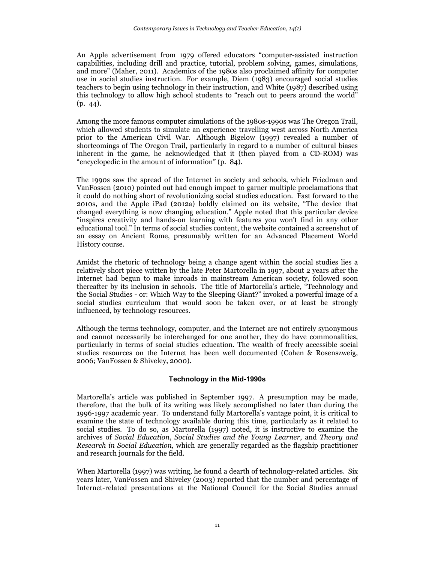An Apple advertisement from 1979 offered educators "computer-assisted instruction capabilities, including drill and practice, tutorial, problem solving, games, simulations, and more" (Maher, 2011). Academics of the 1980s also proclaimed affinity for computer use in social studies instruction. For example, Diem (1983) encouraged social studies teachers to begin using technology in their instruction, and White (1987) described using this technology to allow high school students to "reach out to peers around the world" (p. 44).

Among the more famous computer simulations of the 1980s-1990s was The Oregon Trail, which allowed students to simulate an experience travelling west across North America prior to the American Civil War. Although Bigelow (1997) revealed a number of shortcomings of The Oregon Trail, particularly in regard to a number of cultural biases inherent in the game, he acknowledged that it (then played from a CD-ROM) was "encyclopedic in the amount of information" (p. 84).

The 1990s saw the spread of the Internet in society and schools, which Friedman and VanFossen (2010) pointed out had enough impact to garner multiple proclamations that it could do nothing short of revolutionizing social studies education. Fast forward to the 2010s, and the Apple iPad (2012a) boldly claimed on its website, "The device that changed everything is now changing education." Apple noted that this particular device "inspires creativity and hands-on learning with features you won't find in any other educational tool." In terms of social studies content, the website contained a screenshot of an essay on Ancient Rome, presumably written for an Advanced Placement World History course.

Amidst the rhetoric of technology being a change agent within the social studies lies a relatively short piece written by the late Peter Martorella in 1997, about 2 years after the Internet had begun to make inroads in mainstream American society, followed soon thereafter by its inclusion in schools. The title of Martorella's article, "Technology and the Social Studies - or: Which Way to the Sleeping Giant?" invoked a powerful image of a social studies curriculum that would soon be taken over, or at least be strongly influenced, by technology resources.

Although the terms technology, computer, and the Internet are not entirely synonymous and cannot necessarily be interchanged for one another, they do have commonalities, particularly in terms of social studies education. The wealth of freely accessible social studies resources on the Internet has been well documented (Cohen & Rosenszweig, 2006; VanFossen & Shiveley, 2000).

# **Technology in the Mid-1990s**

Martorella's article was published in September 1997. A presumption may be made, therefore, that the bulk of its writing was likely accomplished no later than during the 1996-1997 academic year. To understand fully Martorella's vantage point, it is critical to examine the state of technology available during this time, particularly as it related to social studies. To do so, as Martorella (1997) noted, it is instructive to examine the archives of *Social Education*, *Social Studies and the Young Learner*, and *Theory and Research in Social Education,* which are generally regarded as the flagship practitioner and research journals for the field.

When Martorella (1997) was writing, he found a dearth of technology-related articles. Six years later, VanFossen and Shiveley (2003) reported that the number and percentage of Internet-related presentations at the National Council for the Social Studies annual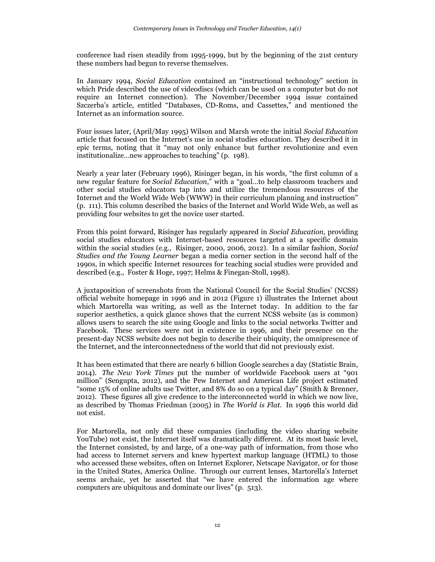conference had risen steadily from 1995-1999, but by the beginning of the 21st century these numbers had begun to reverse themselves.

In January 1994, *Social Education* contained an "instructional technology" section in which Pride described the use of videodiscs (which can be used on a computer but do not require an Internet connection). The November/December 1994 issue contained Szczerba's article, entitled "Databases, CD-Roms, and Cassettes," and mentioned the Internet as an information source.

Four issues later, (April/May 1995) Wilson and Marsh wrote the initial *Social Education* article that focused on the Internet's use in social studies education. They described it in epic terms, noting that it "may not only enhance but further revolutionize and even institutionalize…new approaches to teaching" (p. 198).

Nearly a year later (February 1996), Risinger began, in his words, "the first column of a new regular feature for *Social Education*," with a "goal…to help classroom teachers and other social studies educators tap into and utilize the tremendous resources of the Internet and the World Wide Web (WWW) in their curriculum planning and instruction" (p. 111). This column described the basics of the Internet and World Wide Web, as well as providing four websites to get the novice user started.

From this point forward, Risinger has regularly appeared in *Social Education,* providing social studies educators with Internet-based resources targeted at a specific domain within the social studies (e.g., Risinger, 2000, 2006, 2012). In a similar fashion, *Social Studies and the Young Learner* began a media corner section in the second half of the 1990s, in which specific Internet resources for teaching social studies were provided and described (e.g., Foster & Hoge, 1997; Helms & Finegan-Stoll, 1998).

A juxtaposition of screenshots from the National Council for the Social Studies' (NCSS) official website homepage in 1996 and in 2012 (Figure 1) illustrates the Internet about which Martorella was writing, as well as the Internet today. In addition to the far superior aesthetics, a quick glance shows that the current NCSS website (as is common) allows users to search the site using Google and links to the social networks Twitter and Facebook. These services were not in existence in 1996, and their presence on the present-day NCSS website does not begin to describe their ubiquity, the omnipresence of the Internet, and the interconnectedness of the world that did not previously exist.

It has been estimated that there are nearly 6 billion Google searches a day (Statistic Brain, 2014). *The New York Times* put the number of worldwide Facebook users at "901 million" (Sengupta, 2012), and the Pew Internet and American Life project estimated "some 15% of online adults use Twitter, and 8% do so on a typical day" (Smith & Brenner, 2012). These figures all give credence to the interconnected world in which we now live, as described by Thomas Friedman (2005) in *The World is Flat*. In 1996 this world did not exist.

For Martorella, not only did these companies (including the video sharing website YouTube) not exist, the Internet itself was dramatically different. At its most basic level, the Internet consisted, by and large, of a one-way path of information, from those who had access to Internet servers and knew hypertext markup language (HTML) to those who accessed these websites, often on Internet Explorer, Netscape Navigator, or for those in the United States, America Online. Through our current lenses, Martorella's Internet seems archaic, yet he asserted that "we have entered the information age where computers are ubiquitous and dominate our lives" (p. 513).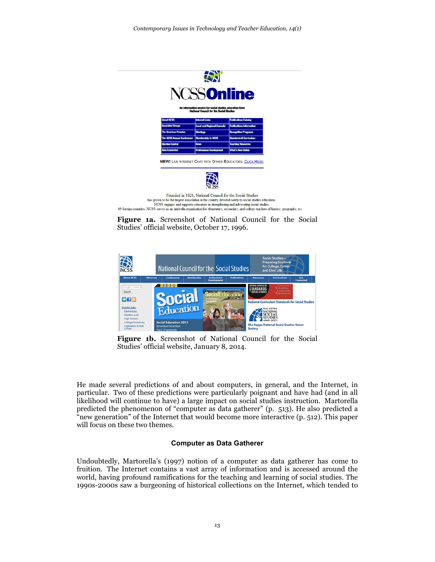





Figure 1b. Screenshot of National Council for the Social Studies' official website, January 8, 2014.

He made several predictions of and about computers, in general, and the Internet, in particular. Two of these predictions were particularly poignant and have had (and in all likelihood will continue to have) a large impact on social studies instruction. Martorella predicted the phenomenon of "computer as data gatherer" (p. 513). He also predicted a "new generation" of the Internet that would become more interactive (p. 512). This paper will focus on these two themes.

#### **Computer as Data Gatherer**

Undoubtedly, Martorella's (1997) notion of a computer as data gatherer has come to fruition. The Internet contains a vast array of information and is accessed around the world, having profound ramifications for the teaching and learning of social studies. The 1990s-2000s saw a burgeoning of historical collections on the Internet, which tended to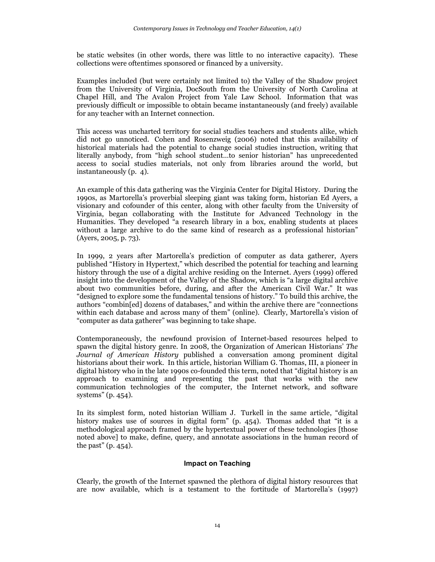be static websites (in other words, there was little to no interactive capacity). These collections were oftentimes sponsored or financed by a university.

Examples included (but were certainly not limited to) the Valley of the Shadow project from the University of Virginia, DocSouth from the University of North Carolina at Chapel Hill, and The Avalon Project from Yale Law School. Information that was previously difficult or impossible to obtain became instantaneously (and freely) available for any teacher with an Internet connection.

This access was uncharted territory for social studies teachers and students alike, which did not go unnoticed. Cohen and Rosenzweig (2006) noted that this availability of historical materials had the potential to change social studies instruction, writing that literally anybody, from "high school student…to senior historian" has unprecedented access to social studies materials, not only from libraries around the world, but instantaneously (p. 4).

An example of this data gathering was the Virginia Center for Digital History. During the 1990s, as Martorella's proverbial sleeping giant was taking form, historian Ed Ayers, a visionary and cofounder of this center, along with other faculty from the University of Virginia, began collaborating with the Institute for Advanced Technology in the Humanities. They developed "a research library in a box, enabling students at places without a large archive to do the same kind of research as a professional historian" (Ayers, 2005, p. 73).

In 1999, 2 years after Martorella's prediction of computer as data gatherer, Ayers published "History in Hypertext," which described the potential for teaching and learning history through the use of a digital archive residing on the Internet. Ayers (1999) offered insight into the development of the Valley of the Shadow, which is "a large digital archive about two communities before, during, and after the American Civil War." It was "designed to explore some the fundamental tensions of history." To build this archive, the authors "combin[ed] dozens of databases," and within the archive there are "connections within each database and across many of them" (online). Clearly, Martorella's vision of "computer as data gatherer" was beginning to take shape.

Contemporaneously, the newfound provision of Internet-based resources helped to spawn the digital history genre. In 2008, the Organization of American Historians' *The Journal of American History* published a conversation among prominent digital historians about their work. In this article, historian William G. Thomas, III, a pioneer in digital history who in the late 1990s co-founded this term, noted that "digital history is an approach to examining and representing the past that works with the new communication technologies of the computer, the Internet network, and software systems" (p. 454).

In its simplest form, noted historian William J. Turkell in the same article, "digital history makes use of sources in digital form" (p. 454). Thomas added that "it is a methodological approach framed by the hypertextual power of these technologies [those noted above] to make, define, query, and annotate associations in the human record of the past" (p. 454).

#### **Impact on Teaching**

Clearly, the growth of the Internet spawned the plethora of digital history resources that are now available, which is a testament to the fortitude of Martorella's (1997)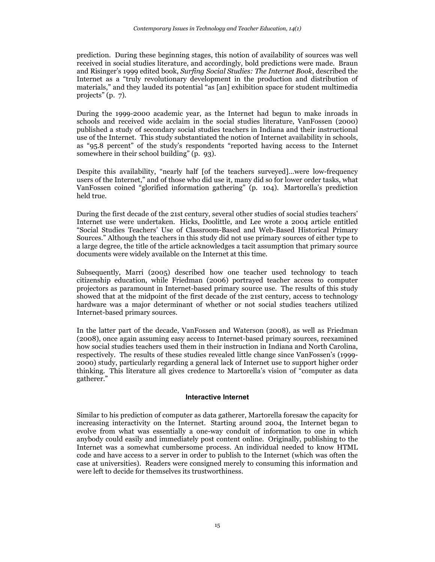prediction. During these beginning stages, this notion of availability of sources was well received in social studies literature, and accordingly, bold predictions were made. Braun and Risinger's 1999 edited book, *Surfing Social Studies: The Internet Book*, described the Internet as a "truly revolutionary development in the production and distribution of materials," and they lauded its potential "as [an] exhibition space for student multimedia projects" (p. 7).

During the 1999-2000 academic year, as the Internet had begun to make inroads in schools and received wide acclaim in the social studies literature, VanFossen (2000) published a study of secondary social studies teachers in Indiana and their instructional use of the Internet. This study substantiated the notion of Internet availability in schools, as "95.8 percent" of the study's respondents "reported having access to the Internet somewhere in their school building" (p. 93).

Despite this availability, "nearly half [of the teachers surveyed]…were low-frequency users of the Internet," and of those who did use it, many did so for lower order tasks, what VanFossen coined "glorified information gathering" (p. 104). Martorella's prediction held true.

During the first decade of the 21st century, several other studies of social studies teachers' Internet use were undertaken. Hicks, Doolittle, and Lee wrote a 2004 article entitled "Social Studies Teachers' Use of Classroom-Based and Web-Based Historical Primary Sources." Although the teachers in this study did not use primary sources of either type to a large degree, the title of the article acknowledges a tacit assumption that primary source documents were widely available on the Internet at this time.

Subsequently, Marri (2005) described how one teacher used technology to teach citizenship education, while Friedman (2006) portrayed teacher access to computer projectors as paramount in Internet-based primary source use. The results of this study showed that at the midpoint of the first decade of the 21st century, access to technology hardware was a major determinant of whether or not social studies teachers utilized Internet-based primary sources.

In the latter part of the decade, VanFossen and Waterson (2008), as well as Friedman (2008), once again assuming easy access to Internet-based primary sources, reexamined how social studies teachers used them in their instruction in Indiana and North Carolina, respectively. The results of these studies revealed little change since VanFossen's (1999- 2000) study, particularly regarding a general lack of Internet use to support higher order thinking. This literature all gives credence to Martorella's vision of "computer as data gatherer."

#### **Interactive Internet**

Similar to his prediction of computer as data gatherer, Martorella foresaw the capacity for increasing interactivity on the Internet. Starting around 2004, the Internet began to evolve from what was essentially a one-way conduit of information to one in which anybody could easily and immediately post content online. Originally, publishing to the Internet was a somewhat cumbersome process. An individual needed to know HTML code and have access to a server in order to publish to the Internet (which was often the case at universities). Readers were consigned merely to consuming this information and were left to decide for themselves its trustworthiness.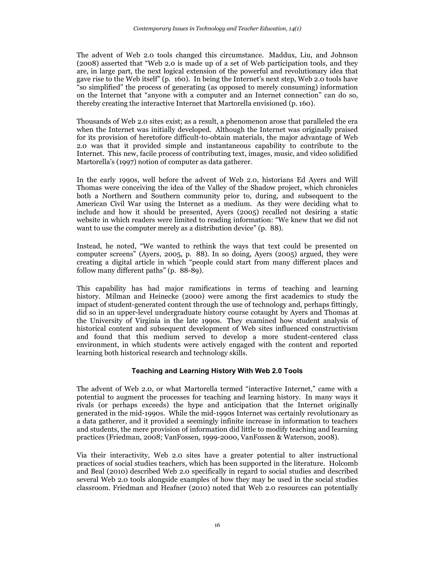The advent of Web 2.0 tools changed this circumstance. Maddux, Liu, and Johnson (2008) asserted that "Web 2.0 is made up of a set of Web participation tools, and they are, in large part, the next logical extension of the powerful and revolutionary idea that gave rise to the Web itself" (p. 160). In being the Internet's next step, Web 2.0 tools have "so simplified" the process of generating (as opposed to merely consuming) information on the Internet that "anyone with a computer and an Internet connection" can do so, thereby creating the interactive Internet that Martorella envisioned (p. 160).

Thousands of Web 2.0 sites exist; as a result, a phenomenon arose that paralleled the era when the Internet was initially developed. Although the Internet was originally praised for its provision of heretofore difficult-to-obtain materials, the major advantage of Web 2.0 was that it provided simple and instantaneous capability to contribute to the Internet. This new, facile process of contributing text, images, music, and video solidified Martorella's (1997) notion of computer as data gatherer.

In the early 1990s, well before the advent of Web 2.0, historians Ed Ayers and Will Thomas were conceiving the idea of the Valley of the Shadow project, which chronicles both a Northern and Southern community prior to, during, and subsequent to the American Civil War using the Internet as a medium. As they were deciding what to include and how it should be presented, Ayers (2005) recalled not desiring a static website in which readers were limited to reading information: "We knew that we did not want to use the computer merely as a distribution device" (p. 88).

Instead, he noted, "We wanted to rethink the ways that text could be presented on computer screens" (Ayers, 2005, p. 88). In so doing, Ayers (2005) argued, they were creating a digital article in which "people could start from many different places and follow many different paths" (p. 88-89).

This capability has had major ramifications in terms of teaching and learning history. Milman and Heinecke (2000) were among the first academics to study the impact of student-generated content through the use of technology and, perhaps fittingly, did so in an upper-level undergraduate history course cotaught by Ayers and Thomas at the University of Virginia in the late 1990s. They examined how student analysis of historical content and subsequent development of Web sites influenced constructivism and found that this medium served to develop a more student-centered class environment, in which students were actively engaged with the content and reported learning both historical research and technology skills.

#### **Teaching and Learning History With Web 2.0 Tools**

The advent of Web 2.0, or what Martorella termed "interactive Internet," came with a potential to augment the processes for teaching and learning history. In many ways it rivals (or perhaps exceeds) the hype and anticipation that the Internet originally generated in the mid-1990s. While the mid-1990s Internet was certainly revolutionary as a data gatherer, and it provided a seemingly infinite increase in information to teachers and students, the mere provision of information did little to modify teaching and learning practices (Friedman, 2008; VanFossen, 1999-2000, VanFossen & Waterson, 2008).

Via their interactivity, Web 2.0 sites have a greater potential to alter instructional practices of social studies teachers, which has been supported in the literature. Holcomb and Beal (2010) described Web 2.0 specifically in regard to social studies and described several Web 2.0 tools alongside examples of how they may be used in the social studies classroom. Friedman and Heafner (2010) noted that Web 2.0 resources can potentially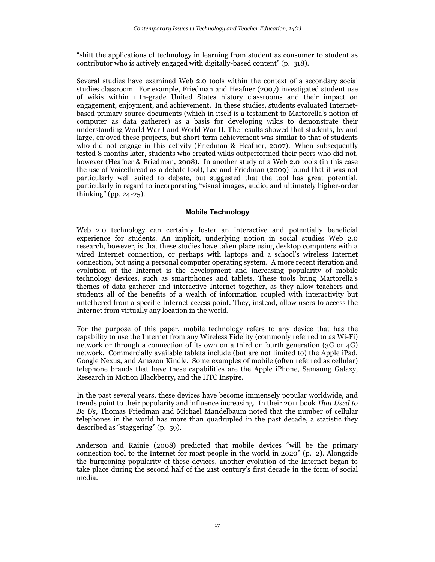"shift the applications of technology in learning from student as consumer to student as contributor who is actively engaged with digitally-based content" (p. 318).

Several studies have examined Web 2.0 tools within the context of a secondary social studies classroom. For example, Friedman and Heafner (2007) investigated student use of wikis within 11th-grade United States history classrooms and their impact on engagement, enjoyment, and achievement. In these studies, students evaluated Internetbased primary source documents (which in itself is a testament to Martorella's notion of computer as data gatherer) as a basis for developing wikis to demonstrate their understanding World War I and World War II. The results showed that students, by and large, enjoyed these projects, but short-term achievement was similar to that of students who did not engage in this activity (Friedman & Heafner, 2007). When subsequently tested 8 months later, students who created wikis outperformed their peers who did not, however (Heafner & Friedman, 2008). In another study of a Web 2.0 tools (in this case the use of Voicethread as a debate tool), Lee and Friedman (2009) found that it was not particularly well suited to debate, but suggested that the tool has great potential, particularly in regard to incorporating "visual images, audio, and ultimately higher-order thinking" (pp. 24-25).

#### **Mobile Technology**

Web 2.0 technology can certainly foster an interactive and potentially beneficial experience for students. An implicit, underlying notion in social studies Web 2.0 research, however, is that these studies have taken place using desktop computers with a wired Internet connection, or perhaps with laptops and a school's wireless Internet connection, but using a personal computer operating system. A more recent iteration and evolution of the Internet is the development and increasing popularity of mobile technology devices, such as smartphones and tablets. These tools bring Martorella's themes of data gatherer and interactive Internet together, as they allow teachers and students all of the benefits of a wealth of information coupled with interactivity but untethered from a specific Internet access point. They, instead, allow users to access the Internet from virtually any location in the world.

For the purpose of this paper, mobile technology refers to any device that has the capability to use the Internet from any Wireless Fidelity (commonly referred to as Wi-Fi) network or through a connection of its own on a third or fourth generation (3G or 4G) network. Commercially available tablets include (but are not limited to) the Apple iPad, Google Nexus, and Amazon Kindle. Some examples of mobile (often referred as cellular) telephone brands that have these capabilities are the Apple iPhone, Samsung Galaxy, Research in Motion Blackberry, and the HTC Inspire.

In the past several years, these devices have become immensely popular worldwide, and trends point to their popularity and influence increasing. In their 2011 book *That Used to Be Us*, Thomas Friedman and Michael Mandelbaum noted that the number of cellular telephones in the world has more than quadrupled in the past decade, a statistic they described as "staggering" (p. 59).

Anderson and Rainie (2008) predicted that mobile devices "will be the primary connection tool to the Internet for most people in the world in 2020" (p. 2). Alongside the burgeoning popularity of these devices, another evolution of the Internet began to take place during the second half of the 21st century's first decade in the form of social media.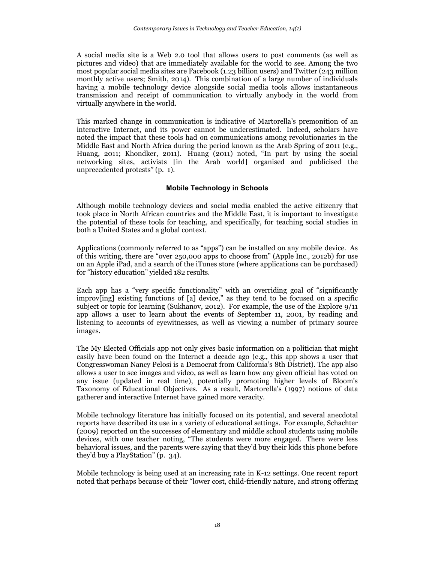A social media site is a Web 2.0 tool that allows users to post comments (as well as pictures and video) that are immediately available for the world to see. Among the two most popular social media sites are Facebook (1.23 billion users) and Twitter (243 million monthly active users; Smith, 2014). This combination of a large number of individuals having a mobile technology device alongside social media tools allows instantaneous transmission and receipt of communication to virtually anybody in the world from virtually anywhere in the world.

This marked change in communication is indicative of Martorella's premonition of an interactive Internet, and its power cannot be underestimated. Indeed, scholars have noted the impact that these tools had on communications among revolutionaries in the Middle East and North Africa during the period known as the Arab Spring of 2011 (e.g., Huang, 2011; Khondker, 2011). Huang (2011) noted, "In part by using the social networking sites, activists [in the Arab world] organised and publicised the unprecedented protests" (p. 1).

## **Mobile Technology in Schools**

Although mobile technology devices and social media enabled the active citizenry that took place in North African countries and the Middle East, it is important to investigate the potential of these tools for teaching, and specifically, for teaching social studies in both a United States and a global context.

Applications (commonly referred to as "apps") can be installed on any mobile device. As of this writing, there are "over 250,000 apps to choose from" (Apple Inc., 2012b) for use on an Apple iPad, and a search of the iTunes store (where applications can be purchased) for "history education" yielded 182 results.

Each app has a "very specific functionality" with an overriding goal of "significantly improv[ing] existing functions of  $[a]$  device," as they tend to be focused on a specific subject or topic for learning (Sukhanov, 2012). For example, the use of the Explore 9/11 app allows a user to learn about the events of September 11, 2001, by reading and listening to accounts of eyewitnesses, as well as viewing a number of primary source images.

The My Elected Officials app not only gives basic information on a politician that might easily have been found on the Internet a decade ago (e.g., this app shows a user that Congresswoman Nancy Pelosi is a Democrat from California's 8th District). The app also allows a user to see images and video, as well as learn how any given official has voted on any issue (updated in real time), potentially promoting higher levels of Bloom's Taxonomy of Educational Objectives. As a result, Martorella's (1997) notions of data gatherer and interactive Internet have gained more veracity.

Mobile technology literature has initially focused on its potential, and several anecdotal reports have described its use in a variety of educational settings. For example, Schachter (2009) reported on the successes of elementary and middle school students using mobile devices, with one teacher noting, "The students were more engaged. There were less behavioral issues, and the parents were saying that they'd buy their kids this phone before they'd buy a PlayStation" (p. 34).

Mobile technology is being used at an increasing rate in K-12 settings. One recent report noted that perhaps because of their "lower cost, child-friendly nature, and strong offering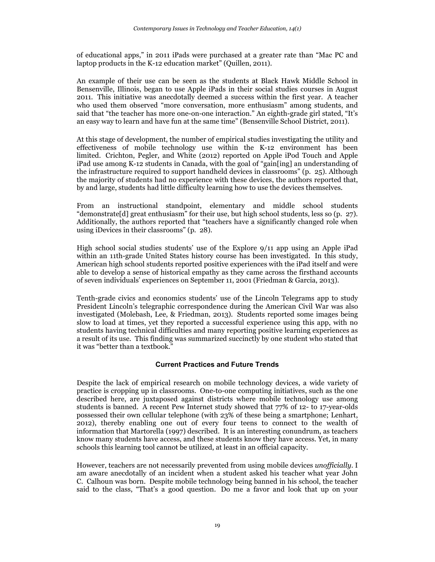of educational apps," in 2011 iPads were purchased at a greater rate than "Mac PC and laptop products in the K-12 education market" (Quillen, 2011).

An example of their use can be seen as the students at Black Hawk Middle School in Bensenville, Illinois, began to use Apple iPads in their social studies courses in August 2011. This initiative was anecdotally deemed a success within the first year. A teacher who used them observed "more conversation, more enthusiasm" among students, and said that "the teacher has more one-on-one interaction." An eighth-grade girl stated, "It's an easy way to learn and have fun at the same time" (Bensenville School District, 2011).

At this stage of development, the number of empirical studies investigating the utility and effectiveness of mobile technology use within the K-12 environment has been limited. Crichton, Pegler, and White (2012) reported on Apple iPod Touch and Apple iPad use among K-12 students in Canada, with the goal of "gain[ing] an understanding of the infrastructure required to support handheld devices in classrooms" (p. 25). Although the majority of students had no experience with these devices, the authors reported that, by and large, students had little difficulty learning how to use the devices themselves.

From an instructional standpoint, elementary and middle school students "demonstrate[d] great enthusiasm" for their use, but high school students, less so (p. 27). Additionally, the authors reported that "teachers have a significantly changed role when using iDevices in their classrooms" (p. 28).

High school social studies students' use of the Explore 9/11 app using an Apple iPad within an 11th-grade United States history course has been investigated. In this study, American high school students reported positive experiences with the iPad itself and were able to develop a sense of historical empathy as they came across the firsthand accounts of seven individuals' experiences on September 11, 2001 (Friedman & Garcia, 2013).

Tenth-grade civics and economics students' use of the Lincoln Telegrams app to study President Lincoln's telegraphic correspondence during the American Civil War was also investigated (Molebash, Lee, & Friedman, 2013). Students reported some images being slow to load at times, yet they reported a successful experience using this app, with no students having technical difficulties and many reporting positive learning experiences as a result of its use. This finding was summarized succinctly by one student who stated that it was "better than a textbook."

# **Current Practices and Future Trends**

Despite the lack of empirical research on mobile technology devices, a wide variety of practice is cropping up in classrooms. One-to-one computing initiatives, such as the one described here, are juxtaposed against districts where mobile technology use among students is banned. A recent Pew Internet study showed that 77% of 12- to 17-year-olds possessed their own cellular telephone (with 23% of these being a smartphone; Lenhart, 2012), thereby enabling one out of every four teens to connect to the wealth of information that Martorella (1997) described. It is an interesting conundrum, as teachers know many students have access, and these students know they have access. Yet, in many schools this learning tool cannot be utilized, at least in an official capacity.

However, teachers are not necessarily prevented from using mobile devices *unofficially*. I am aware anecdotally of an incident when a student asked his teacher what year John C. Calhoun was born. Despite mobile technology being banned in his school, the teacher said to the class, "That's a good question. Do me a favor and look that up on your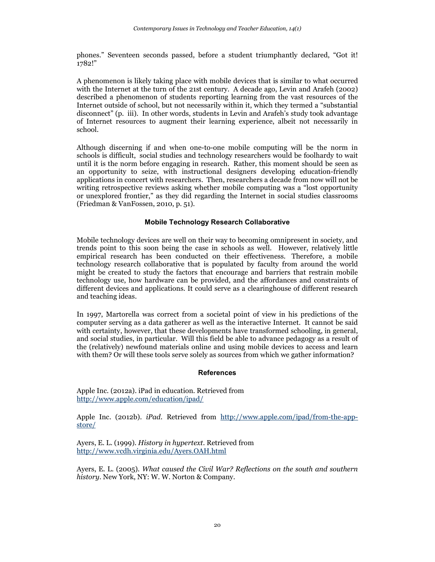phones." Seventeen seconds passed, before a student triumphantly declared, "Got it! 1782!"

A phenomenon is likely taking place with mobile devices that is similar to what occurred with the Internet at the turn of the 21st century. A decade ago, Levin and Arafeh (2002) described a phenomenon of students reporting learning from the vast resources of the Internet outside of school, but not necessarily within it, which they termed a "substantial disconnect" (p. iii). In other words, students in Levin and Arafeh's study took advantage of Internet resources to augment their learning experience, albeit not necessarily in school.

Although discerning if and when one-to-one mobile computing will be the norm in schools is difficult, social studies and technology researchers would be foolhardy to wait until it is the norm before engaging in research. Rather, this moment should be seen as an opportunity to seize, with instructional designers developing education-friendly applications in concert with researchers. Then, researchers a decade from now will not be writing retrospective reviews asking whether mobile computing was a "lost opportunity or unexplored frontier," as they did regarding the Internet in social studies classrooms (Friedman & VanFossen, 2010, p. 51).

## **Mobile Technology Research Collaborative**

Mobile technology devices are well on their way to becoming omnipresent in society, and trends point to this soon being the case in schools as well. However, relatively little empirical research has been conducted on their effectiveness. Therefore, a mobile technology research collaborative that is populated by faculty from around the world might be created to study the factors that encourage and barriers that restrain mobile technology use, how hardware can be provided, and the affordances and constraints of different devices and applications. It could serve as a clearinghouse of different research and teaching ideas.

In 1997, Martorella was correct from a societal point of view in his predictions of the computer serving as a data gatherer as well as the interactive Internet. It cannot be said with certainty, however, that these developments have transformed schooling, in general, and social studies, in particular. Will this field be able to advance pedagogy as a result of the (relatively) newfound materials online and using mobile devices to access and learn with them? Or will these tools serve solely as sources from which we gather information?

#### **References**

Apple Inc. (2012a). iPad in education. Retrieved from <http://www.apple.com/education/ipad/>

Apple Inc. (2012b). *iPad*. Retrieved from [http://www.apple.com/ipad/from-the-app](http://www.apple.com/ipad/from-the-app-store/)[store/](http://www.apple.com/ipad/from-the-app-store/)

Ayers, E. L. (1999). *History in hypertext*. Retrieved from <http://www.vcdh.virginia.edu/Ayers.OAH.html>

Ayers, E. L. (2005). *What caused the Civil War? Reflections on the south and southern history*. New York, NY: W. W. Norton & Company.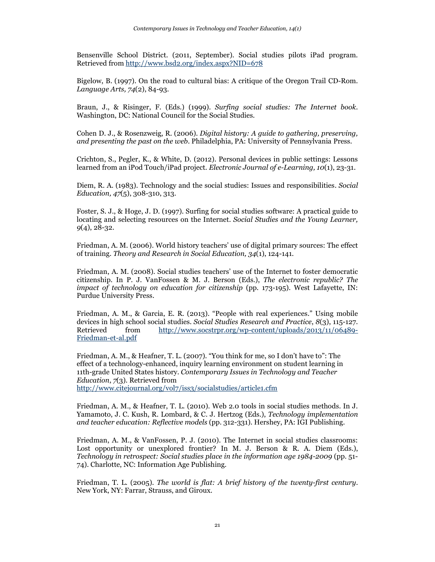Bensenville School District. (2011, September). Social studies pilots iPad program. Retrieved from<http://www.bsd2.org/index.aspx?NID=678>

Bigelow, B. (1997). On the road to cultural bias: A critique of the Oregon Trail CD-Rom. *Language Arts, 74*(2), 84-93.

Braun, J., & Risinger, F. (Eds.) (1999). *Surfing social studies: The Internet book*. Washington, DC: National Council for the Social Studies.

Cohen D. J., & Rosenzweig, R. (2006). *Digital history: A guide to gathering, preserving, and presenting the past on the web*. Philadelphia, PA: University of Pennsylvania Press.

Crichton, S., Pegler, K., & White, D. (2012). Personal devices in public settings: Lessons learned from an iPod Touch/iPad project. *Electronic Journal of e-Learning, 10*(1), 23-31.

Diem, R. A. (1983). Technology and the social studies: Issues and responsibilities. *Social Education, 47*(5), 308-310, 313.

Foster, S. J., & Hoge, J. D. (1997). Surfing for social studies software: A practical guide to locating and selecting resources on the Internet. *Social Studies and the Young Learner, 9*(4), 28-32.

Friedman, A. M. (2006). World history teachers' use of digital primary sources: The effect of training. *Theory and Research in Social Education, 34*(1), 124-141.

Friedman, A. M. (2008). Social studies teachers' use of the Internet to foster democratic citizenship. In P. J. VanFossen & M. J. Berson (Eds.), *The electronic republic? The impact of technology on education for citizenship* (pp. 173-195). West Lafayette, IN: Purdue University Press.

Friedman, A. M., & Garcia, E. R. (2013). "People with real experiences." Using mobile devices in high school social studies. *Social Studies Research and Practice*, *8*(3), 115-127. Retrieved from [http://www.socstrpr.org/wp-content/uploads/2013/11/06489-](http://www.socstrpr.org/wp-content/uploads/2013/11/06489-Friedman-et-al.pdf) [Friedman-et-al.pdf](http://www.socstrpr.org/wp-content/uploads/2013/11/06489-Friedman-et-al.pdf)

Friedman, A. M., & Heafner, T. L. (2007). "You think for me, so I don't have to": The effect of a technology-enhanced, inquiry learning environment on student learning in 11th-grade United States history. *Contemporary Issues in Technology and Teacher Education*, *7*(3). Retrieved from <http://www.citejournal.org/vol7/iss3/socialstudies/article1.cfm>

Friedman, A. M., & Heafner, T. L. (2010). Web 2.0 tools in social studies methods. In J. Yamamoto, J. C. Kush, R. Lombard, & C. J. Hertzog (Eds.), *Technology implementation and teacher education: Reflective models* (pp. 312-331). Hershey, PA: IGI Publishing.

Friedman, A. M., & VanFossen, P. J. (2010). The Internet in social studies classrooms: Lost opportunity or unexplored frontier? In M. J. Berson & R. A. Diem (Eds.), *Technology in retrospect: Social studies place in the information age 1984-2009* (pp. 51-74). Charlotte, NC: Information Age Publishing.

Friedman, T. L. (2005). *The world is flat: A brief history of the twenty-first century*. New York, NY: Farrar, Strauss, and Giroux.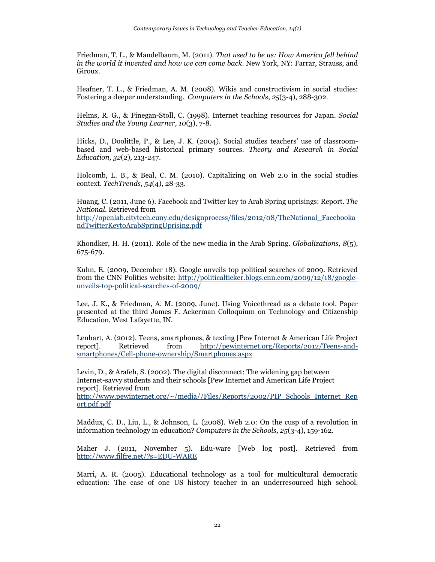Friedman, T. L., & Mandelbaum, M. (2011). *That used to be us: How America fell behind in the world it invented and how we can come back*. New York, NY: Farrar, Strauss, and Giroux.

Heafner, T. L., & Friedman, A. M. (2008). Wikis and constructivism in social studies: Fostering a deeper understanding. *Computers in the Schools*, *25*(3-4), 288-302.

Helms, R. G., & Finegan-Stoll, C. (1998). Internet teaching resources for Japan. *Social Studies and the Young Learner, 10*(3), 7-8.

Hicks, D., Doolittle, P., & Lee, J. K. (2004). Social studies teachers' use of classroombased and web-based historical primary sources. *Theory and Research in Social Education, 32*(2), 213-247.

Holcomb, L. B., & Beal, C. M. (2010). Capitalizing on Web 2.0 in the social studies context. *TechTrends, 54*(4), 28-33.

Huang, C. (2011, June 6). Facebook and Twitter key to Arab Spring uprisings: Report. *The National*. Retrieved from [http://openlab.citytech.cuny.edu/designprocess/files/2012/08/TheNational\\_Facebooka](http://openlab.citytech.cuny.edu/designprocess/files/2012/08/TheNational_FacebookandTwitterKeytoArabSpringUprising.pdf) [ndTwitterKeytoArabSpringUprising.pdf](http://openlab.citytech.cuny.edu/designprocess/files/2012/08/TheNational_FacebookandTwitterKeytoArabSpringUprising.pdf)

Khondker, H. H. (2011). Role of the new media in the Arab Spring. *Globalizations, 8*(5), 675-679.

Kuhn, E. (2009, December 18). Google unveils top political searches of 2009. Retrieved from the CNN Politics website: [http://politicalticker.blogs.cnn.com/2009/12/18/google](http://politicalticker.blogs.cnn.com/2009/12/18/google-unveils-top-political-searches-of-2009/)[unveils-top-political-searches-of-2009/](http://politicalticker.blogs.cnn.com/2009/12/18/google-unveils-top-political-searches-of-2009/)

Lee, J. K., & Friedman, A. M. (2009, June). Using Voicethread as a debate tool. Paper presented at the third James F. Ackerman Colloquium on Technology and Citizenship Education, West Lafayette, IN.

Lenhart, A. (2012). Teens, smartphones, & texting [Pew Internet & American Life Project report]. Retrieved from [http://pewinternet.org/Reports/2012/Teens-and](http://pewinternet.org/Reports/2012/Teens-and-smartphones/Cell-phone-ownership/Smartphones.aspx)[smartphones/Cell-phone-ownership/Smartphones.aspx](http://pewinternet.org/Reports/2012/Teens-and-smartphones/Cell-phone-ownership/Smartphones.aspx)

Levin, D., & Arafeh, S. (2002). The digital disconnect: The widening gap between Internet-savvy students and their schools [Pew Internet and American Life Project report]. Retrieved from [http://www.pewinternet.org/~/media//Files/Reports/2002/PIP\\_Schools\\_Internet\\_Rep](http://www.pewinternet.org/~/media/Files/Reports/2002/PIP_Schools_Internet_Report.pdf.pdf) [ort.pdf.pdf](http://www.pewinternet.org/~/media/Files/Reports/2002/PIP_Schools_Internet_Report.pdf.pdf)

Maddux, C. D., Liu, L., & Johnson, L. (2008). Web 2.0: On the cusp of a revolution in information technology in education? *Computers in the Schools, 25*(3-4), 159-162.

Maher J. (2011, November 5). Edu-ware [Web log post]. Retrieved from <http://www.filfre.net/?s=EDU-WARE>

Marri, A. R. (2005). Educational technology as a tool for multicultural democratic education: The case of one US history teacher in an underresourced high school.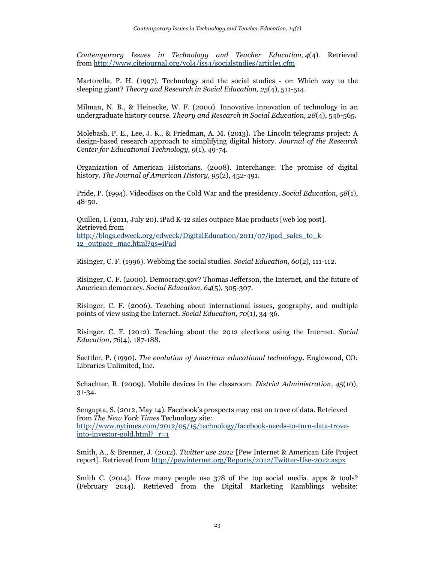*Contemporary Issues in Technology and Teacher Education*, *4*(4). Retrieved from <http://www.citejournal.org/vol4/iss4/socialstudies/article1.cfm>

Martorella, P. H. (1997). Technology and the social studies - or: Which way to the sleeping giant? *Theory and Research in Social Education, 25*(4), 511-514.

Milman, N. B., & Heinecke, W. F. (2000). Innovative innovation of technology in an undergraduate history course. *Theory and Research in Social Education, 28*(4), 546-565.

Molebash, P. E., Lee, J. K., & Friedman, A. M. (2013). The Lincoln telegrams project: A design-based research approach to simplifying digital history. *Journal of the Research Center for Educational Technology, 9*(1), 49-74.

Organization of American Historians. (2008). Interchange: The promise of digital history. *The Journal of American History, 95*(2), 452-491.

Pride, P. (1994). Videodiscs on the Cold War and the presidency. *Social Education, 58*(1), 48-50.

Quillen, I. (2011, July 20). iPad K-12 sales outpace Mac products [web log post]. Retrieved from [http://blogs.edweek.org/edweek/DigitalEducation/2011/07/ipad\\_sales\\_to\\_k-](http://blogs.edweek.org/edweek/DigitalEducation/2011/07/ipad_sales_to_k-12_outpace_mac.html?qs=iPad)[12\\_outpace\\_mac.html?qs=iPad](http://blogs.edweek.org/edweek/DigitalEducation/2011/07/ipad_sales_to_k-12_outpace_mac.html?qs=iPad)

Risinger, C. F. (1996). Webbing the social studies. *Social Education, 60*(2), 111-112.

Risinger, C. F. (2000). Democracy.gov? Thomas Jefferson, the Internet, and the future of American democracy. *Social Education, 64*(5), 305-307.

Risinger, C. F. (2006). Teaching about international issues, geography, and multiple points of view using the Internet. *Social Education, 70*(1), 34-36.

Risinger, C. F. (2012). Teaching about the 2012 elections using the Internet. *Social Education, 76*(4), 187-188.

Saettler, P. (1990). *The evolution of American educational technology*. Englewood, CO: Libraries Unlimited, Inc.

Schachter, R. (2009). Mobile devices in the classroom. *District Administration, 45*(10), 31-34.

Sengupta, S. (2012, May 14). Facebook's prospects may rest on trove of data. Retrieved from *The New York Times* Technology site: [http://www.nytimes.com/2012/05/15/technology/facebook-needs-to-turn-data-trove](http://www.nytimes.com/2012/05/15/technology/facebook-needs-to-turn-data-trove-into-investor-gold.html?_r=1)[into-investor-gold.html?\\_r=1](http://www.nytimes.com/2012/05/15/technology/facebook-needs-to-turn-data-trove-into-investor-gold.html?_r=1)

Smith, A., & Brenner, J. (2012). *Twitter use 2012* [Pew Internet & American Life Project report]. Retrieved from <http://pewinternet.org/Reports/2012/Twitter-Use-2012.aspx>

Smith C. (2014). How many people use 378 of the top social media, apps & tools? (February 2014). Retrieved from the Digital Marketing Ramblings website: